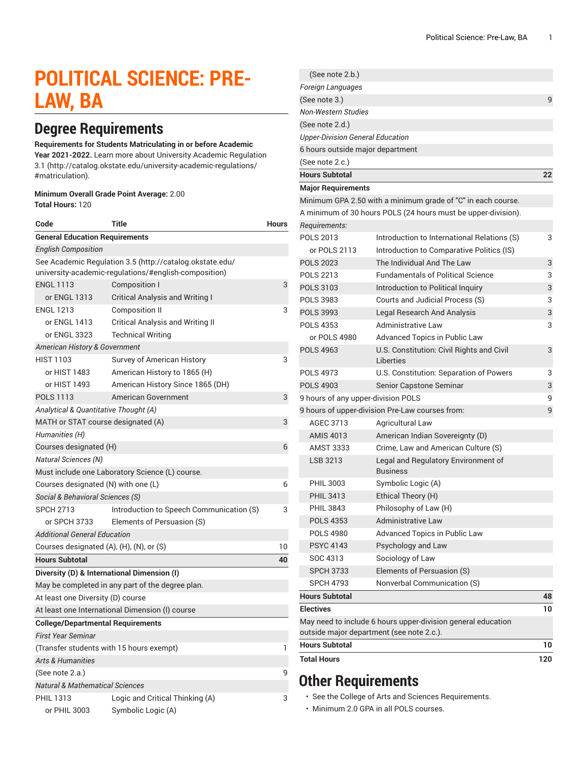# **POLITICAL SCIENCE: PRE-LAW, BA**

# **Degree Requirements**

#### **Requirements for Students Matriculating in or before Academic**

**Year 2021-2022.** Learn more about University Academic [Regulation](http://catalog.okstate.edu/university-academic-regulations/#matriculation) [3.1](http://catalog.okstate.edu/university-academic-regulations/#matriculation) ([http://catalog.okstate.edu/university-academic-regulations/](http://catalog.okstate.edu/university-academic-regulations/#matriculation) [#matriculation\)](http://catalog.okstate.edu/university-academic-regulations/#matriculation).

#### **Minimum Overall Grade Point Average:** 2.00 **Total Hours:** 120

| Code                                                                                                              | Title                                    | <b>Hours</b> |  |
|-------------------------------------------------------------------------------------------------------------------|------------------------------------------|--------------|--|
| <b>General Education Requirements</b>                                                                             |                                          |              |  |
| <b>English Composition</b>                                                                                        |                                          |              |  |
| See Academic Regulation 3.5 (http://catalog.okstate.edu/<br>university-academic-regulations/#english-composition) |                                          |              |  |
| <b>ENGL 1113</b>                                                                                                  | Composition I                            | 3            |  |
| or ENGL 1313                                                                                                      | Critical Analysis and Writing I          |              |  |
| <b>ENGL 1213</b>                                                                                                  | <b>Composition II</b>                    | 3            |  |
| or ENGL 1413                                                                                                      | <b>Critical Analysis and Writing II</b>  |              |  |
| or ENGL 3323                                                                                                      | <b>Technical Writing</b>                 |              |  |
| American History & Government                                                                                     |                                          |              |  |
| <b>HIST 1103</b>                                                                                                  | Survey of American History               | 3            |  |
| or HIST 1483                                                                                                      | American History to 1865 (H)             |              |  |
| or HIST 1493                                                                                                      | American History Since 1865 (DH)         |              |  |
| <b>POLS 1113</b>                                                                                                  | American Government                      | 3            |  |
| Analytical & Quantitative Thought (A)                                                                             |                                          |              |  |
| MATH or STAT course designated (A)                                                                                |                                          | 3            |  |
| Humanities (H)                                                                                                    |                                          |              |  |
| Courses designated (H)                                                                                            |                                          |              |  |
| <b>Natural Sciences (N)</b>                                                                                       |                                          |              |  |
| Must include one Laboratory Science (L) course.                                                                   |                                          |              |  |
| Courses designated (N) with one (L)                                                                               |                                          | 6            |  |
| Social & Behavioral Sciences (S)                                                                                  |                                          |              |  |
| <b>SPCH 2713</b>                                                                                                  | Introduction to Speech Communication (S) | 3            |  |
| or SPCH 3733                                                                                                      | Elements of Persuasion (S)               |              |  |
| <b>Additional General Education</b>                                                                               |                                          |              |  |
| Courses designated (A), (H), (N), or (S)                                                                          |                                          | 10           |  |
| <b>Hours Subtotal</b>                                                                                             |                                          | 40           |  |
| Diversity (D) & International Dimension (I)                                                                       |                                          |              |  |
| May be completed in any part of the degree plan.                                                                  |                                          |              |  |
| At least one Diversity (D) course                                                                                 |                                          |              |  |
| At least one International Dimension (I) course                                                                   |                                          |              |  |
| <b>College/Departmental Requirements</b>                                                                          |                                          |              |  |
| <b>First Year Seminar</b>                                                                                         |                                          |              |  |
| (Transfer students with 15 hours exempt)                                                                          |                                          | 1            |  |
| <b>Arts &amp; Humanities</b>                                                                                      |                                          |              |  |
| (See note 2.a.)                                                                                                   |                                          |              |  |
| <b>Natural &amp; Mathematical Sciences</b>                                                                        |                                          |              |  |
| <b>PHIL 1313</b>                                                                                                  | Logic and Critical Thinking (A)          | 3            |  |
| or PHIL 3003                                                                                                      | Symbolic Logic (A)                       |              |  |

| (See note 2.b.)                         |                                                                                                           |     |
|-----------------------------------------|-----------------------------------------------------------------------------------------------------------|-----|
| Foreign Languages                       |                                                                                                           |     |
| (See note 3.)                           |                                                                                                           | 9   |
| Non-Western Studies                     |                                                                                                           |     |
| (See note 2.d.)                         |                                                                                                           |     |
| <b>Upper-Division General Education</b> |                                                                                                           |     |
| 6 hours outside major department        |                                                                                                           |     |
| (See note 2.c.)                         |                                                                                                           |     |
| <b>Hours Subtotal</b>                   |                                                                                                           | 22  |
| <b>Major Requirements</b>               |                                                                                                           |     |
|                                         | Minimum GPA 2.50 with a minimum grade of "C" in each course.                                              |     |
|                                         | A minimum of 30 hours POLS (24 hours must be upper-division).                                             |     |
| Requirements:                           |                                                                                                           |     |
| <b>POLS 2013</b>                        | Introduction to International Relations (S)                                                               | 3   |
| or POLS 2113                            | Introduction to Comparative Politics (IS)                                                                 |     |
| <b>POLS 2023</b>                        | The Individual And The Law                                                                                | 3   |
| <b>POLS 2213</b>                        | <b>Fundamentals of Political Science</b>                                                                  | 3   |
| <b>POLS 3103</b>                        | Introduction to Political Inquiry                                                                         | 3   |
| <b>POLS 3983</b>                        | Courts and Judicial Process (S)                                                                           | 3   |
| <b>POLS 3993</b>                        | <b>Legal Research And Analysis</b>                                                                        | 3   |
| <b>POLS 4353</b>                        | <b>Administrative Law</b>                                                                                 | 3   |
| or POLS 4980                            | Advanced Topics in Public Law                                                                             |     |
| <b>POLS 4963</b>                        | U.S. Constitution: Civil Rights and Civil<br>Liberties                                                    | 3   |
| <b>POLS 4973</b>                        | U.S. Constitution: Separation of Powers                                                                   | 3   |
| <b>POLS 4903</b>                        | Senior Capstone Seminar                                                                                   | 3   |
| 9 hours of any upper-division POLS      |                                                                                                           | 9   |
|                                         | 9 hours of upper-division Pre-Law courses from:                                                           | 9   |
| AGEC 3713                               | <b>Agricultural Law</b>                                                                                   |     |
| <b>AMIS 4013</b>                        | American Indian Sovereignty (D)                                                                           |     |
| <b>AMST 3333</b>                        | Crime, Law and American Culture (S)                                                                       |     |
| LSB 3213                                | Legal and Regulatory Environment of<br><b>Business</b>                                                    |     |
| <b>PHIL 3003</b>                        | Symbolic Logic (A)                                                                                        |     |
| <b>PHIL 3413</b>                        | Ethical Theory (H)                                                                                        |     |
| <b>PHIL 3843</b>                        | Philosophy of Law (H)                                                                                     |     |
| <b>POLS 4353</b>                        | <b>Administrative Law</b>                                                                                 |     |
| <b>POLS 4980</b>                        | Advanced Topics in Public Law                                                                             |     |
| <b>PSYC 4143</b>                        | Psychology and Law                                                                                        |     |
| SOC 4313                                | Sociology of Law                                                                                          |     |
| <b>SPCH 3733</b>                        | Elements of Persuasion (S)                                                                                |     |
| <b>SPCH 4793</b>                        | Nonverbal Communication (S)                                                                               |     |
| <b>Hours Subtotal</b>                   |                                                                                                           | 48  |
| <b>Electives</b>                        |                                                                                                           | 10  |
|                                         | May need to include 6 hours upper-division general education<br>outside major department (see note 2.c.). |     |
| <b>Hours Subtotal</b>                   |                                                                                                           | 10  |
| <b>Total Hours</b>                      |                                                                                                           | 120 |
|                                         |                                                                                                           |     |

# **Other Requirements**

• See the College of Arts and Sciences Requirements.

• Minimum 2.0 GPA in all POLS courses.